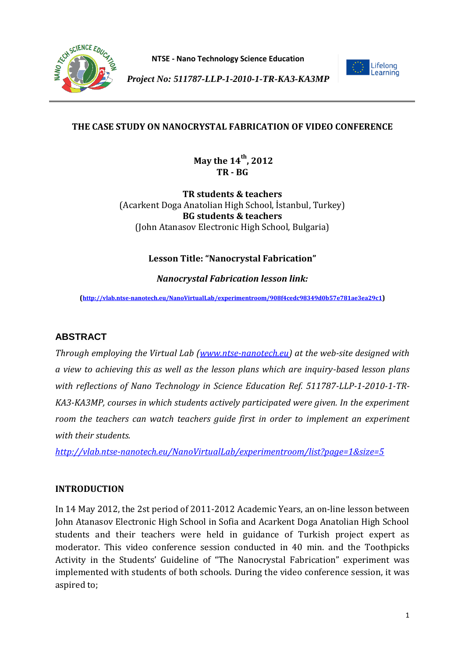

**NTSE - Nano Technology Science Education**



*Project No: 511787-LLP-1-2010-1-TR-KA3-KA3MP*

## **THE CASE STUDY ON NANOCRYSTAL FABRICATION OF VIDEO CONFERENCE**

**May the 14th, 2012 TR - BG** 

**TR students & teachers** (Acarkent Doga Anatolian High School, İstanbul, Turkey) **BG students & teachers** (John Atanasov Electronic High School, Bulgaria)

### **Lesson Title: "Nanocrystal Fabrication"**

*Nanocrystal Fabrication lesson link:*

**(<http://vlab.ntse-nanotech.eu/NanoVirtualLab/experimentroom/908f4cedc98349d0b57e781ae3ea29c1>)**

## **ABSTRACT**

*Through employing the Virtual Lab [\(www.ntse-nanotech.eu\)](http://www.ntse-nanotech.eu/) at the web-site designed with a view to achieving this as well as the lesson plans which are inquiry-based lesson plans with reflections of Nano Technology in Science Education Ref. 511787-LLP-1-2010-1-TR-KA3-KA3MP, courses in which students actively participated were given. In the experiment room the teachers can watch teachers guide first in order to implement an experiment with their students.*

*<http://vlab.ntse-nanotech.eu/NanoVirtualLab/experimentroom/list?page=1&size=5>*

#### **INTRODUCTION**

In 14 May 2012, the 2st period of 2011-2012 Academic Years, an on-line lesson between John Atanasov Electronic High School in Sofia and Acarkent Doga Anatolian High School students and their teachers were held in guidance of Turkish project expert as moderator. This video conference session conducted in 40 min. and the Toothpicks Activity in the Students' Guideline of "The Nanocrystal Fabrication" experiment was implemented with students of both schools. During the video conference session, it was aspired to;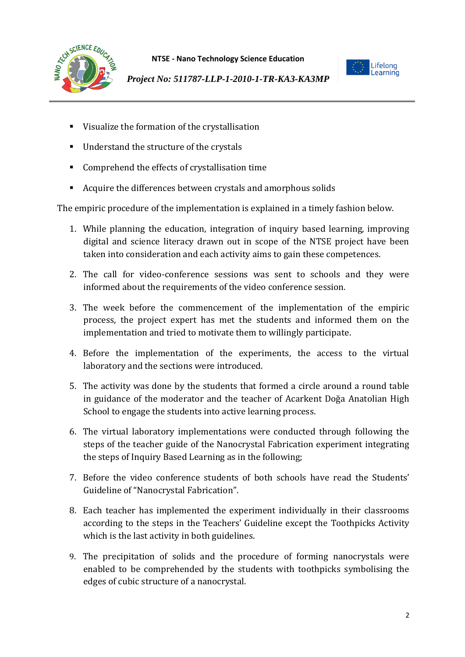



- Visualize the formation of the crystallisation
- **Understand the structure of the crystals**
- Comprehend the effects of crystallisation time
- Acquire the differences between crystals and amorphous solids

The empiric procedure of the implementation is explained in a timely fashion below.

- 1. While planning the education, integration of inquiry based learning, improving digital and science literacy drawn out in scope of the NTSE project have been taken into consideration and each activity aims to gain these competences.
- 2. The call for video-conference sessions was sent to schools and they were informed about the requirements of the video conference session.
- 3. The week before the commencement of the implementation of the empiric process, the project expert has met the students and informed them on the implementation and tried to motivate them to willingly participate.
- 4. Before the implementation of the experiments, the access to the virtual laboratory and the sections were introduced.
- 5. The activity was done by the students that formed a circle around a round table in guidance of the moderator and the teacher of Acarkent Doğa Anatolian High School to engage the students into active learning process.
- 6. The virtual laboratory implementations were conducted through following the steps of the teacher guide of the Nanocrystal Fabrication experiment integrating the steps of Inquiry Based Learning as in the following;
- 7. Before the video conference students of both schools have read the Students' Guideline of "Nanocrystal Fabrication".
- 8. Each teacher has implemented the experiment individually in their classrooms according to the steps in the Teachers' Guideline except the Toothpicks Activity which is the last activity in both guidelines.
- 9. The precipitation of solids and the procedure of forming nanocrystals were enabled to be comprehended by the students with toothpicks symbolising the edges of cubic structure of a nanocrystal.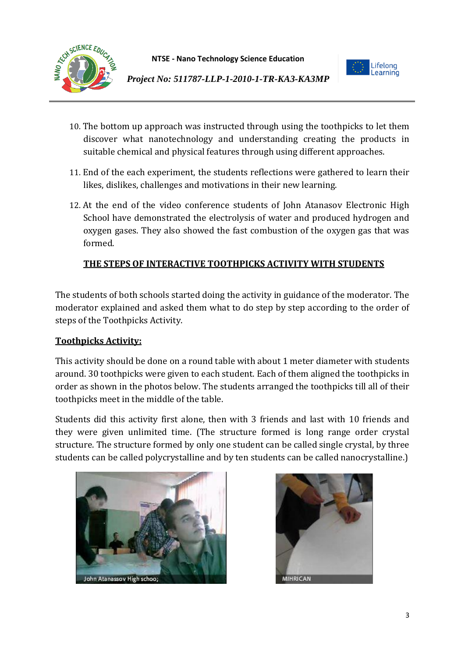



- 10. The bottom up approach was instructed through using the toothpicks to let them discover what nanotechnology and understanding creating the products in suitable chemical and physical features through using different approaches.
- 11. End of the each experiment, the students reflections were gathered to learn their likes, dislikes, challenges and motivations in their new learning.
- 12. At the end of the video conference students of John Atanasov Electronic High School have demonstrated the electrolysis of water and produced hydrogen and oxygen gases. They also showed the fast combustion of the oxygen gas that was formed.

# **THE STEPS OF INTERACTIVE TOOTHPICKS ACTIVITY WITH STUDENTS**

The students of both schools started doing the activity in guidance of the moderator. The moderator explained and asked them what to do step by step according to the order of steps of the Toothpicks Activity.

## **Toothpicks Activity:**

This activity should be done on a round table with about 1 meter diameter with students around. 30 toothpicks were given to each student. Each of them aligned the toothpicks in order as shown in the photos below. The students arranged the toothpicks till all of their toothpicks meet in the middle of the table.

Students did this activity first alone, then with 3 friends and last with 10 friends and they were given unlimited time. (The structure formed is long range order crystal structure. The structure formed by only one student can be called single crystal, by three students can be called polycrystalline and by ten students can be called nanocrystalline.)



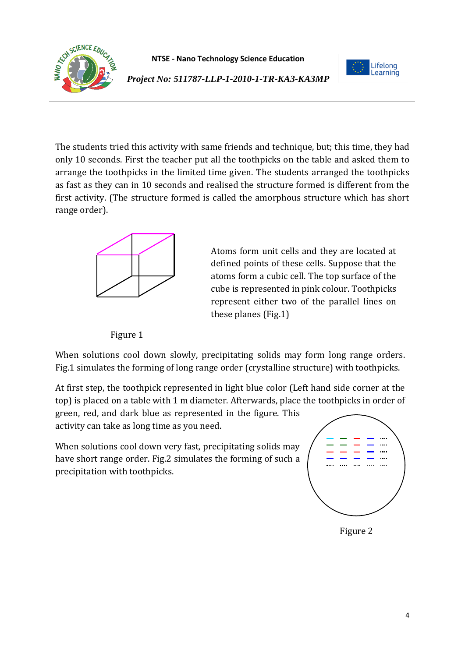



The students tried this activity with same friends and technique, but; this time, they had only 10 seconds. First the teacher put all the toothpicks on the table and asked them to arrange the toothpicks in the limited time given. The students arranged the toothpicks as fast as they can in 10 seconds and realised the structure formed is different from the first activity. (The structure formed is called the amorphous structure which has short range order).



Atoms form unit cells and they are located at defined points of these cells. Suppose that the atoms form a cubic cell. The top surface of the cube is represented in pink colour. Toothpicks represent either two of the parallel lines on these planes (Fig.1)

Figure 1

When solutions cool down slowly, precipitating solids may form long range orders. Fig.1 simulates the forming of long range order (crystalline structure) with toothpicks.

At first step, the toothpick represented in light blue color (Left hand side corner at the top) is placed on a table with 1 m diameter. Afterwards, place the toothpicks in order of

green, red, and dark blue as represented in the figure. This activity can take as long time as you need.

When solutions cool down very fast, precipitating solids may have short range order. Fig.2 simulates the forming of such a precipitation with toothpicks.



Figure 2